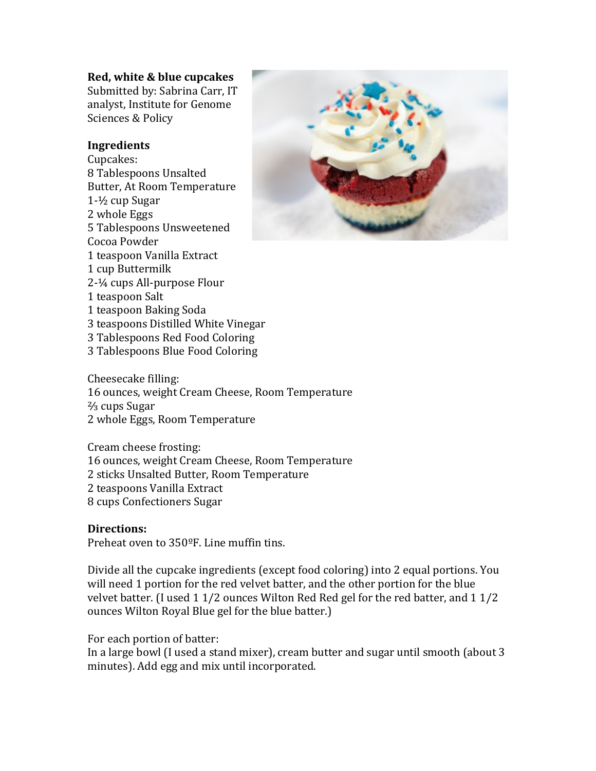# **Red, white & blue cupcakes**

Submitted by: Sabrina Carr, IT analyst, Institute for Genome Sciences & Policy

## **Ingredients**

Cupcakes: 8 Tablespoons Unsalted Butter, At Room Temperature  $1-1/2$  cup Sugar 2 whole Eggs 5 Tablespoons Unsweetened Cocoa Powder 1 teaspoon Vanilla Extract 1 cup Buttermilk 2-¼ cups All-purpose Flour 1 teaspoon Salt 1 teaspoon Baking Soda 3 teaspoons Distilled White Vinegar 3 Tablespoons Red Food Coloring 3 Tablespoons Blue Food Coloring



Cream cheese frosting: 16 ounces, weight Cream Cheese, Room Temperature 2 sticks Unsalted Butter, Room Temperature 2 teaspoons Vanilla Extract 8 cups Confectioners Sugar

# **Directions:**

Preheat oven to 350°F. Line muffin tins.

Divide all the cupcake ingredients (except food coloring) into 2 equal portions. You will need 1 portion for the red velvet batter, and the other portion for the blue velvet batter. (I used  $1\frac{1}{2}$  ounces Wilton Red Red gel for the red batter, and  $1\frac{1}{2}$ ounces Wilton Royal Blue gel for the blue batter.)

For each portion of batter:

In a large bowl (I used a stand mixer), cream butter and sugar until smooth (about 3 minutes). Add egg and mix until incorporated.